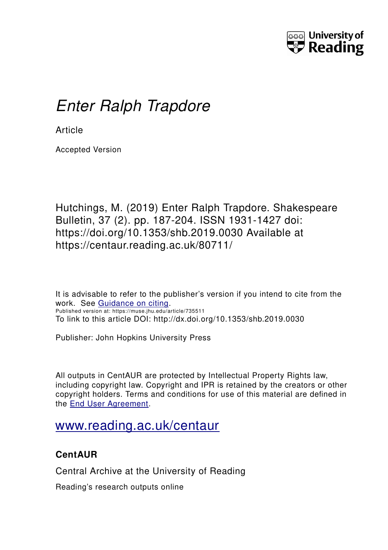

# *Enter Ralph Trapdore*

**Article** 

Accepted Version

Hutchings, M. (2019) Enter Ralph Trapdore. Shakespeare Bulletin, 37 (2). pp. 187-204. ISSN 1931-1427 doi: https://doi.org/10.1353/shb.2019.0030 Available at https://centaur.reading.ac.uk/80711/

It is advisable to refer to the publisher's version if you intend to cite from the work. See [Guidance on citing.](http://centaur.reading.ac.uk/71187/10/CentAUR%20citing%20guide.pdf) Published version at: https://muse.jhu.edu/article/735511 To link to this article DOI: http://dx.doi.org/10.1353/shb.2019.0030

Publisher: John Hopkins University Press

All outputs in CentAUR are protected by Intellectual Property Rights law, including copyright law. Copyright and IPR is retained by the creators or other copyright holders. Terms and conditions for use of this material are defined in the [End User Agreement.](http://centaur.reading.ac.uk/licence)

## [www.reading.ac.uk/centaur](http://www.reading.ac.uk/centaur)

## **CentAUR**

Central Archive at the University of Reading

Reading's research outputs online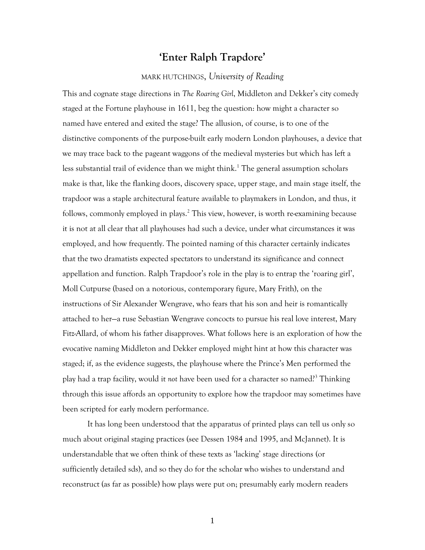## **'Enter Ralph Trapdore'**

#### MARK HUTCHINGS, *University of Reading*

This and cognate stage directions in *The Roaring Girl*, Middleton and Dekker's city comedy staged at the Fortune playhouse in 1611, beg the question: how might a character so named have entered and exited the stage? The allusion, of course, is to one of the distinctive components of the purpose-built early modern London playhouses, a device that we may trace back to the pageant waggons of the medieval mysteries but which has left a less substantial trail of evidence than we might think. <sup>1</sup> The general assumption scholars make is that, like the flanking doors, discovery space, upper stage, and main stage itself, the trapdoor was a staple architectural feature available to playmakers in London, and thus, it follows, commonly employed in plays.<sup>2</sup> This view, however, is worth re-examining because it is not at all clear that all playhouses had such a device, under what circumstances it was employed, and how frequently. The pointed naming of this character certainly indicates that the two dramatists expected spectators to understand its significance and connect appellation and function. Ralph Trapdoor's role in the play is to entrap the 'roaring girl', Moll Cutpurse (based on a notorious, contemporary figure, Mary Frith), on the instructions of Sir Alexander Wengrave, who fears that his son and heir is romantically attached to her—a ruse Sebastian Wengrave concocts to pursue his real love interest, Mary Fitz-Allard, of whom his father disapproves. What follows here is an exploration of how the evocative naming Middleton and Dekker employed might hint at how this character was staged; if, as the evidence suggests, the playhouse where the Prince's Men performed the play had a trap facility, would it *not* have been used for a character so named?<sup>3</sup> Thinking through this issue affords an opportunity to explore how the trapdoor may sometimes have been scripted for early modern performance.

It has long been understood that the apparatus of printed plays can tell us only so much about original staging practices (see Dessen 1984 and 1995, and McJannet). It is understandable that we often think of these texts as 'lacking' stage directions (or sufficiently detailed sds), and so they do for the scholar who wishes to understand and reconstruct (as far as possible) how plays were put on; presumably early modern readers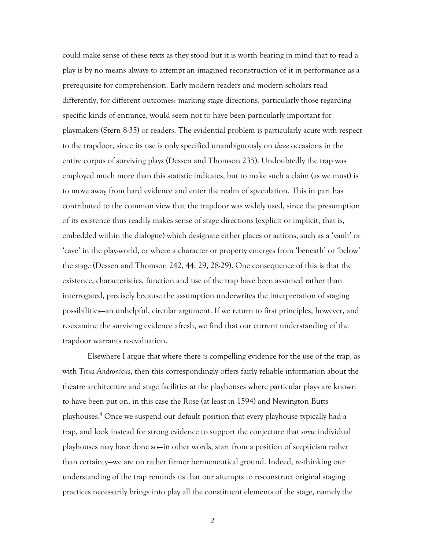could make sense of these texts as they stood but it is worth bearing in mind that to read a play is by no means always to attempt an imagined reconstruction of it in performance as a prerequisite for comprehension. Early modern readers and modern scholars read differently, for different outcomes: marking stage directions, particularly those regarding specific kinds of entrance, would seem not to have been particularly important for playmakers (Stern 8-35) or readers. The evidential problem is particularly acute with respect to the trapdoor, since its use is only specified unambiguously on *three* occasions in the entire corpus of surviving plays (Dessen and Thomson 235). Undoubtedly the trap was employed much more than this statistic indicates, but to make such a claim (as we must) is to move away from hard evidence and enter the realm of speculation. This in part has contributed to the common view that the trapdoor was widely used, since the presumption of its existence thus readily makes sense of stage directions (explicit or implicit, that is, embedded within the dialogue) which designate either places or actions, such as a 'vault' or 'cave' in the play-world, or where a character or property emerges from 'beneath' or 'below' the stage (Dessen and Thomson 242, 44, 29, 28-29). One consequence of this is that the existence, characteristics, function and use of the trap have been assumed rather than interrogated, precisely because the assumption underwrites the interpretation of staging possibilities—an unhelpful, circular argument. If we return to first principles, however, and re-examine the surviving evidence afresh, we find that our current understanding of the trapdoor warrants re-evaluation.

Elsewhere I argue that where there *is* compelling evidence for the use of the trap, as with *Titus Andronicus*, then this correspondingly offers fairly reliable information about the theatre architecture and stage facilities at the playhouses where particular plays are known to have been put on, in this case the Rose (at least in 1594) and Newington Butts playhouses. <sup>4</sup> Once we suspend our default position that every playhouse typically had a trap, and look instead for strong evidence to support the conjecture that *some* individual playhouses may have done so—in other words, start from a position of scepticism rather than certainty—we are on rather firmer hermeneutical ground. Indeed, re-thinking our understanding of the trap reminds us that our attempts to re-construct original staging practices necessarily brings into play all the constituent elements of the stage, namely the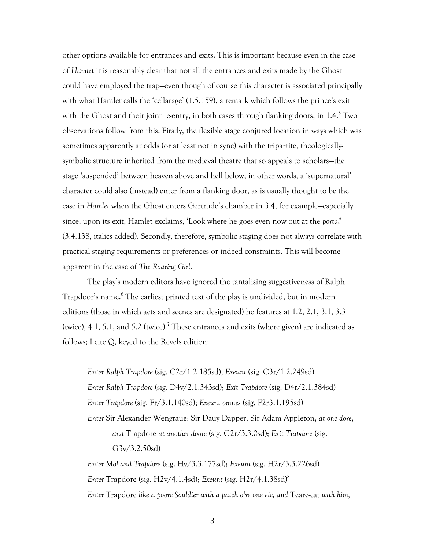other options available for entrances and exits. This is important because even in the case of *Hamlet* it is reasonably clear that not all the entrances and exits made by the Ghost could have employed the trap—even though of course this character is associated principally with what Hamlet calls the 'cellarage' (1.5.159), a remark which follows the prince's exit with the Ghost and their joint re-entry, in both cases through flanking doors, in 1.4. <sup>5</sup> Two observations follow from this. Firstly, the flexible stage conjured location in ways which was sometimes apparently at odds (or at least not in sync) with the tripartite, theologicallysymbolic structure inherited from the medieval theatre that so appeals to scholars—the stage 'suspended' between heaven above and hell below; in other words, a 'supernatural' character could also (instead) enter from a flanking door, as is usually thought to be the case in *Hamlet* when the Ghost enters Gertrude's chamber in 3.4, for example—especially since, upon its exit, Hamlet exclaims, 'Look where he goes even now out at the *portal*' (3.4.138, italics added). Secondly, therefore, symbolic staging does not always correlate with practical staging requirements or preferences or indeed constraints. This will become apparent in the case of *The Roaring Girl*.

The play's modern editors have ignored the tantalising suggestiveness of Ralph Trapdoor's name.<sup>6</sup> The earliest printed text of the play is undivided, but in modern editions (those in which acts and scenes are designated) he features at 1.2, 2.1, 3.1, 3.3 (twice), 4.1, 5.1, and 5.2 (twice).<sup>7</sup> These entrances and exits (where given) are indicated as follows; I cite Q, keyed to the Revels edition:

*Enter Ralph Trapdore* (sig. C2r/1.2.185sd); *Exeunt* (sig. C3r/1.2.249sd) *Enter Ralph Trapdore* (sig. D4v/2.1.343sd); *Exit Trapdore* (sig. D4r/2.1.384sd) *Enter Trapdore* (sig. Fr/3.1.140sd); *Exeunt omnes* (sig. F2r3.1.195sd) *Enter* Sir Alexander Wengraue: Sir Dauy Dapper, Sir Adam Appleton, *at one dore*, *and* Trapdore *at another doore* (sig. G2r/3.3.0sd); *Exit Trapdore* (sig. G3v/3.2.50sd) *Enter Mol and Trapdore* (sig. Hv/3.3.177sd); *Exeunt* (sig. H2r/3.3.226sd)

*Enter* Trapdore (sig. H2v/4.1.4sd); *Exeunt* (sig. H2r/4.1.38sd)<sup>8</sup> *Enter* Trapdore *like a poore Souldier with a patch o're one eie, and* Teare-cat *with him,*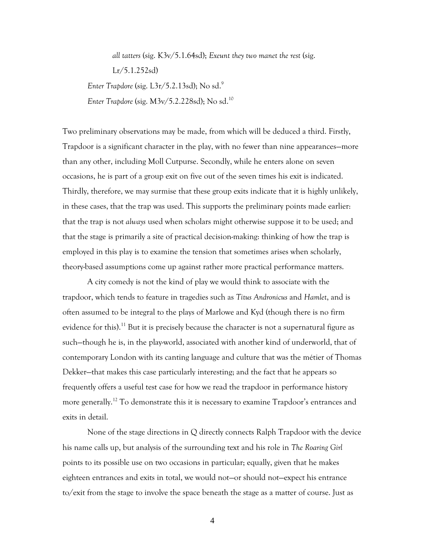*all tatters* (sig. K3v/5.1.64sd); *Exeunt they two manet the rest* (sig. Lr/5.1.252sd) *Enter Trapdore* (sig. L3r/5.2.13sd); No sd. 9

*Enter Trapdore* (sig. M3v/5.2.228sd); No sd.<sup>10</sup>

Two preliminary observations may be made, from which will be deduced a third. Firstly, Trapdoor is a significant character in the play, with no fewer than nine appearances—more than any other, including Moll Cutpurse. Secondly, while he enters alone on seven occasions, he is part of a group exit on five out of the seven times his exit is indicated. Thirdly, therefore, we may surmise that these group exits indicate that it is highly unlikely, in these cases, that the trap was used. This supports the preliminary points made earlier: that the trap is not *always* used when scholars might otherwise suppose it to be used; and that the stage is primarily a site of practical decision-making: thinking of how the trap is employed in this play is to examine the tension that sometimes arises when scholarly, theory-based assumptions come up against rather more practical performance matters.

A city comedy is not the kind of play we would think to associate with the trapdoor, which tends to feature in tragedies such as *Titus Andronicus* and *Hamlet*, and is often assumed to be integral to the plays of Marlowe and Kyd (though there is no firm evidence for this).<sup>11</sup> But it is precisely because the character is not a supernatural figure as such—though he is, in the play-world, associated with another kind of underworld, that of contemporary London with its canting language and culture that was the métier of Thomas Dekker—that makes this case particularly interesting; and the fact that he appears so frequently offers a useful test case for how we read the trapdoor in performance history more generally.<sup>12</sup> To demonstrate this it is necessary to examine Trapdoor's entrances and exits in detail.

None of the stage directions in Q directly connects Ralph Trapdoor with the device his name calls up, but analysis of the surrounding text and his role in *The Roaring Girl* points to its possible use on two occasions in particular; equally, given that he makes eighteen entrances and exits in total, we would not—or should not—expect his entrance to/exit from the stage to involve the space beneath the stage as a matter of course. Just as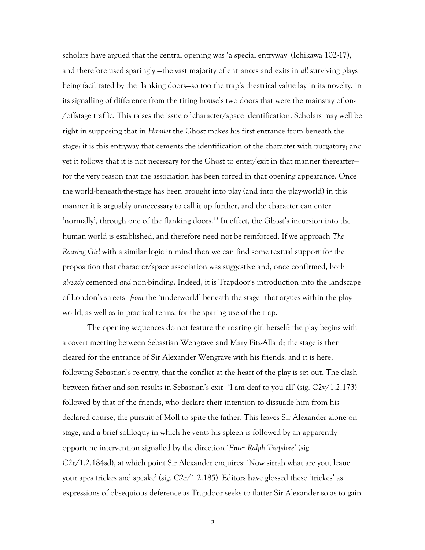scholars have argued that the central opening was 'a special entryway' (Ichikawa 102-17), and therefore used sparingly —the vast majority of entrances and exits in *all* surviving plays being facilitated by the flanking doors—so too the trap's theatrical value lay in its novelty, in its signalling of difference from the tiring house's two doors that were the mainstay of on- /offstage traffic. This raises the issue of character/space identification. Scholars may well be right in supposing that in *Hamlet* the Ghost makes his first entrance from beneath the stage: it is this entryway that cements the identification of the character with purgatory; and yet it follows that it is not necessary for the Ghost to enter/exit in that manner thereafter for the very reason that the association has been forged in that opening appearance. Once the world-beneath-the-stage has been brought into play (and into the play-world) in this manner it is arguably unnecessary to call it up further, and the character can enter 'normally', through one of the flanking doors.<sup>13</sup> In effect, the Ghost's incursion into the human world is established, and therefore need not be reinforced. If we approach *The Roaring Girl* with a similar logic in mind then we can find some textual support for the proposition that character/space association was suggestive and, once confirmed, both *already* cemented *and* non-binding. Indeed, it is Trapdoor's introduction into the landscape of London's streets—*from* the 'underworld' beneath the stage—that argues within the playworld, as well as in practical terms, for the sparing use of the trap.

The opening sequences do not feature the roaring girl herself: the play begins with a covert meeting between Sebastian Wengrave and Mary Fitz-Allard; the stage is then cleared for the entrance of Sir Alexander Wengrave with his friends, and it is here, following Sebastian's re-entry, that the conflict at the heart of the play is set out. The clash between father and son results in Sebastian's exit—'I am deaf to you all' (sig. C2v/1.2.173) followed by that of the friends, who declare their intention to dissuade him from his declared course, the pursuit of Moll to spite the father. This leaves Sir Alexander alone on stage, and a brief soliloquy in which he vents his spleen is followed by an apparently opportune intervention signalled by the direction '*Enter Ralph Trapdore*' (sig. C2r/1.2.184sd), at which point Sir Alexander enquires: 'Now sirrah what are you, leaue your apes trickes and speake' (sig. C2r/1.2.185). Editors have glossed these 'trickes' as expressions of obsequious deference as Trapdoor seeks to flatter Sir Alexander so as to gain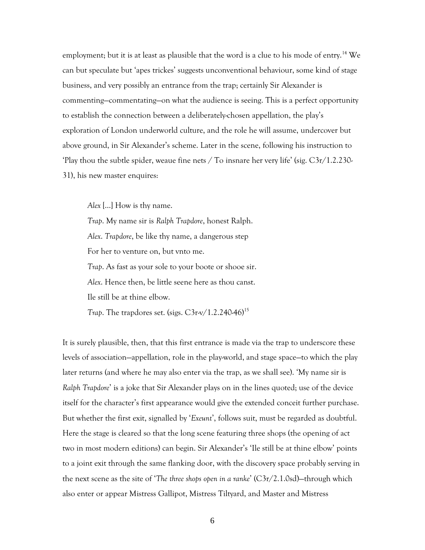employment; but it is at least as plausible that the word is a clue to his mode of entry.<sup>14</sup> We can but speculate but 'apes trickes' suggests unconventional behaviour, some kind of stage business, and very possibly an entrance from the trap; certainly Sir Alexander is commenting—commentating—on what the audience is seeing. This is a perfect opportunity to establish the connection between a deliberately-chosen appellation, the play's exploration of London underworld culture, and the role he will assume, undercover but above ground, in Sir Alexander's scheme. Later in the scene, following his instruction to 'Play thou the subtle spider, weaue fine nets / To insnare her very life' (sig. C3r/1.2.230- 31), his new master enquires:

*Alex* […] How is thy name.

*Trap*. My name sir is *Ralph Trapdore*, honest Ralph. *Alex*. *Trapdore*, be like thy name, a dangerous step For her to venture on, but vnto me. *Trap*. As fast as your sole to your boote or shooe sir. *Alex*. Hence then, be little seene here as thou canst. Ile still be at thine elbow.

*Trap*. The trapdores set. (sigs. C3r-v/1.2.240-46)<sup>15</sup>

It is surely plausible, then, that this first entrance is made via the trap to underscore these levels of association—appellation, role in the play-world, and stage space—to which the play later returns (and where he may also enter via the trap, as we shall see). 'My name sir is *Ralph Trapdore*' is a joke that Sir Alexander plays on in the lines quoted; use of the device itself for the character's first appearance would give the extended conceit further purchase. But whether the first exit, signalled by '*Exeunt*', follows suit, must be regarded as doubtful. Here the stage is cleared so that the long scene featuring three shops (the opening of act two in most modern editions) can begin. Sir Alexander's 'Ile still be at thine elbow' points to a joint exit through the same flanking door, with the discovery space probably serving in the next scene as the site of '*The three shops open in a ranke*' (C3r/2.1.0sd)—through which also enter or appear Mistress Gallipot, Mistress Tiltyard, and Master and Mistress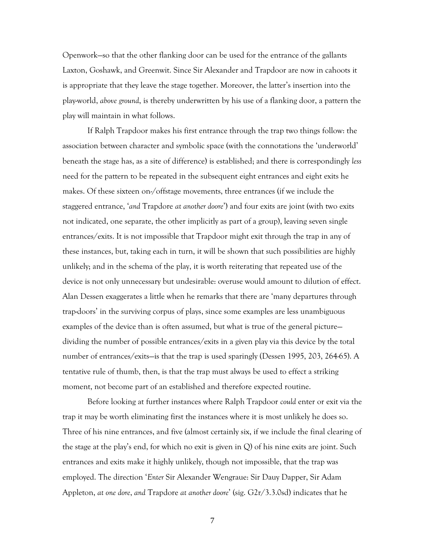Openwork—so that the other flanking door can be used for the entrance of the gallants Laxton, Goshawk, and Greenwit. Since Sir Alexander and Trapdoor are now in cahoots it is appropriate that they leave the stage together. Moreover, the latter's insertion into the play-world, *above ground*, is thereby underwritten by his use of a flanking door, a pattern the play will maintain in what follows.

If Ralph Trapdoor makes his first entrance through the trap two things follow: the association between character and symbolic space (with the connotations the 'underworld' beneath the stage has, as a site of difference) is established; and there is correspondingly *less* need for the pattern to be repeated in the subsequent eight entrances and eight exits he makes. Of these sixteen on-/offstage movements, three entrances (if we include the staggered entrance, '*and* Trapdore *at another doore*') and four exits are joint (with two exits not indicated, one separate, the other implicitly as part of a group), leaving seven single entrances/exits. It is not impossible that Trapdoor might exit through the trap in any of these instances, but, taking each in turn, it will be shown that such possibilities are highly unlikely; and in the schema of the play, it is worth reiterating that repeated use of the device is not only unnecessary but undesirable: overuse would amount to dilution of effect. Alan Dessen exaggerates a little when he remarks that there are 'many departures through trap-doors' in the surviving corpus of plays, since some examples are less unambiguous examples of the device than is often assumed, but what is true of the general picture dividing the number of possible entrances/exits in a given play via this device by the total number of entrances/exits—is that the trap is used sparingly (Dessen 1995, 203, 264-65). A tentative rule of thumb, then, is that the trap must always be used to effect a striking moment, not become part of an established and therefore expected routine.

Before looking at further instances where Ralph Trapdoor *could* enter or exit via the trap it may be worth eliminating first the instances where it is most unlikely he does so. Three of his nine entrances, and five (almost certainly six, if we include the final clearing of the stage at the play's end, for which no exit is given in  $Q$ ) of his nine exits are joint. Such entrances and exits make it highly unlikely, though not impossible, that the trap was employed. The direction '*Enter* Sir Alexander Wengraue: Sir Dauy Dapper, Sir Adam Appleton, *at one dore*, *and* Trapdore *at another doore*' (sig. G2r/3.3.0sd) indicates that he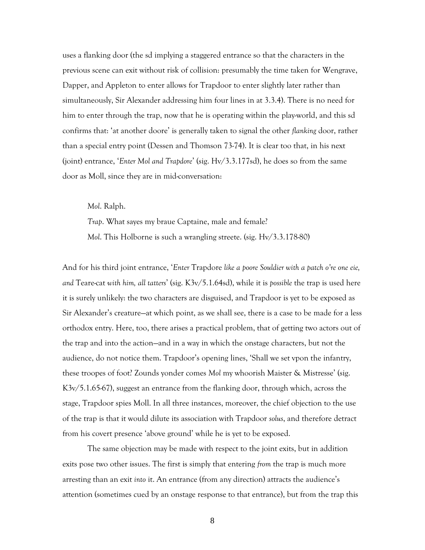uses a flanking door (the sd implying a staggered entrance so that the characters in the previous scene can exit without risk of collision: presumably the time taken for Wengrave, Dapper, and Appleton to enter allows for Trapdoor to enter slightly later rather than simultaneously, Sir Alexander addressing him four lines in at 3.3.4). There is no need for him to enter through the trap, now that he is operating within the play-world, and this sd confirms that: 'at another doore' is generally taken to signal the other *flanking* door, rather than a special entry point (Dessen and Thomson 73-74). It is clear too that, in his next (joint) entrance, '*Enter Mol and Trapdore*' (sig. Hv/3.3.177sd), he does so from the same door as Moll, since they are in mid-conversation:

*Mol*. Ralph.

*Trap*. What sayes my braue Captaine, male and female? *Mol*. This Holborne is such a wrangling streete. (sig. Hv/3.3.178-80)

And for his third joint entrance, '*Enter* Trapdore *like a poore Souldier with a patch o're one eie, and* Teare-cat *with him, all tatters*' (sig. K3v/5.1.64sd), while it is *possible* the trap is used here it is surely unlikely: the two characters are disguised, and Trapdoor is yet to be exposed as Sir Alexander's creature—at which point, as we shall see, there is a case to be made for a less orthodox entry. Here, too, there arises a practical problem, that of getting two actors out of the trap and into the action—and in a way in which the onstage characters, but not the audience, do not notice them. Trapdoor's opening lines, 'Shall we set vpon the infantry, these troopes of foot? Zounds yonder comes *Mol* my whoorish Maister & Mistresse' (sig. K3v/5.1.65-67), suggest an entrance from the flanking door, through which, across the stage, Trapdoor spies Moll. In all three instances, moreover, the chief objection to the use of the trap is that it would dilute its association with Trapdoor *solus*, and therefore detract from his covert presence 'above ground' while he is yet to be exposed.

The same objection may be made with respect to the joint exits, but in addition exits pose two other issues. The first is simply that entering *from* the trap is much more arresting than an exit *into* it. An entrance (from any direction) attracts the audience's attention (sometimes cued by an onstage response to that entrance), but from the trap this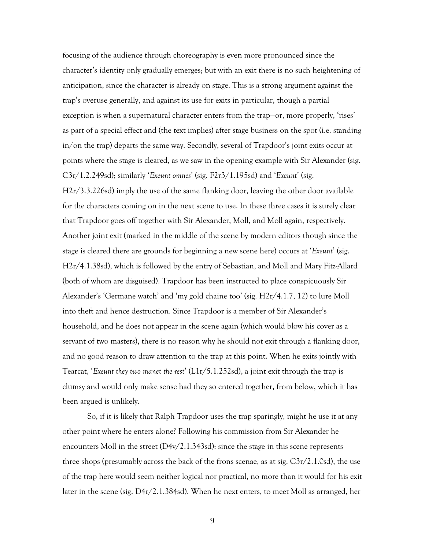focusing of the audience through choreography is even more pronounced since the character's identity only gradually emerges; but with an exit there is no such heightening of anticipation, since the character is already on stage. This is a strong argument against the trap's overuse generally, and against its use for exits in particular, though a partial exception is when a supernatural character enters from the trap—or, more properly, 'rises' as part of a special effect and (the text implies) after stage business on the spot (i.e. standing in/on the trap) departs the same way. Secondly, several of Trapdoor's joint exits occur at points where the stage is cleared, as we saw in the opening example with Sir Alexander (sig. C3r/1.2.249sd); similarly '*Exeunt omnes*' (sig. F2r3/1.195sd) and '*Exeunt*' (sig. H2r/3.3.226sd) imply the use of the same flanking door, leaving the other door available for the characters coming on in the next scene to use. In these three cases it is surely clear that Trapdoor goes off together with Sir Alexander, Moll, and Moll again, respectively. Another joint exit (marked in the middle of the scene by modern editors though since the stage is cleared there are grounds for beginning a new scene here) occurs at '*Exeunt*' (sig. H2r/4.1.38sd), which is followed by the entry of Sebastian, and Moll and Mary Fitz-Allard (both of whom are disguised). Trapdoor has been instructed to place conspicuously Sir Alexander's 'Germane watch' and 'my gold chaine too' (sig. H2r/4.1.7, 12) to lure Moll into theft and hence destruction. Since Trapdoor is a member of Sir Alexander's household, and he does not appear in the scene again (which would blow his cover as a servant of two masters), there is no reason why he should not exit through a flanking door, and no good reason to draw attention to the trap at this point. When he exits jointly with Tearcat, '*Exeunt they two manet the rest*' (L1r/5.1.252sd), a joint exit through the trap is clumsy and would only make sense had they so entered together, from below, which it has been argued is unlikely.

So, if it is likely that Ralph Trapdoor uses the trap sparingly, might he use it at any other point where he enters alone? Following his commission from Sir Alexander he encounters Moll in the street (D4v/2.1.343sd): since the stage in this scene represents three shops (presumably across the back of the frons scenae, as at sig.  $C_3r/2.1.0$ sd), the use of the trap here would seem neither logical nor practical, no more than it would for his exit later in the scene (sig. D4r/2.1.384sd). When he next enters, to meet Moll as arranged, her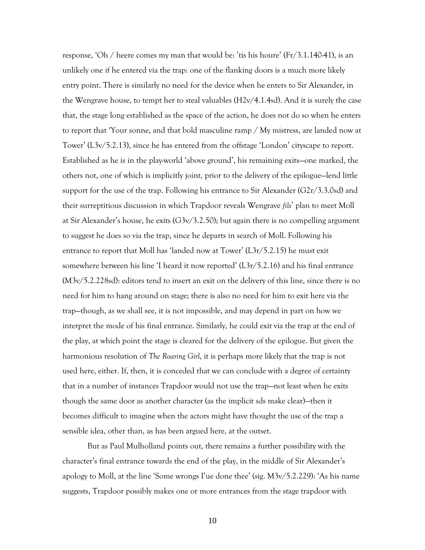response, 'Oh / heere comes my man that would be: 'tis his houre' ( $Fr/3.1.140-41$ ), is an unlikely one if he entered via the trap: one of the flanking doors is a much more likely entry point. There is similarly no need for the device when he enters to Sir Alexander, in the Wengrave house, to tempt her to steal valuables  $(H2v/4.1.4sd)$ . And it is surely the case that, the stage long established as the space of the action, he does not do so when he enters to report that 'Your sonne, and that bold masculine ramp / My mistress, are landed now at Tower' (L3v/5.2.13), since he has entered from the offstage 'London' cityscape to report. Established as he is in the play-world 'above ground', his remaining exits—one marked, the others not, one of which is implicitly joint, prior to the delivery of the epilogue—lend little support for the use of the trap. Following his entrance to Sir Alexander (G2r/3.3.0sd) and their surreptitious discussion in which Trapdoor reveals Wengrave *fils*' plan to meet Moll at Sir Alexander's house, he exits (G3v/3.2.50); but again there is no compelling argument to suggest he does so via the trap, since he departs in search of Moll. Following his entrance to report that Moll has 'landed now at Tower' (L3r/5.2.15) he must exit somewhere between his line 'I heard it now reported' (L3r/5.2.16) and his final entrance (M3v/5.2.228sd): editors tend to insert an exit on the delivery of this line, since there is no need for him to hang around on stage; there is also no need for him to exit here via the trap—though, as we shall see, it is not impossible, and may depend in part on how we interpret the mode of his final entrance. Similarly, he could exit via the trap at the end of the play, at which point the stage is cleared for the delivery of the epilogue. But given the harmonious resolution of *The Roaring Girl*, it is perhaps more likely that the trap is not used here, either. If, then, it is conceded that we can conclude with a degree of certainty that in a number of instances Trapdoor would not use the trap—not least when he exits though the same door as another character (as the implicit sds make clear)—then it becomes difficult to imagine when the actors might have thought the use of the trap a sensible idea, other than, as has been argued here, at the outset.

But as Paul Mulholland points out, there remains a further possibility with the character's final entrance towards the end of the play, in the middle of Sir Alexander's apology to Moll, at the line 'Some wrongs I'ue done thee' (sig. M3v/5.2.229): 'As his name suggests, Trapdoor possibly makes one or more entrances from the stage trapdoor with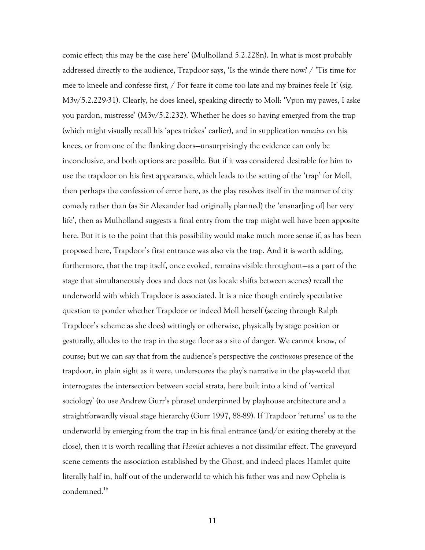comic effect; this may be the case here' (Mulholland 5.2.228n). In what is most probably addressed directly to the audience, Trapdoor says, 'Is the winde there now? / 'Tis time for mee to kneele and confesse first, / For feare it come too late and my braines feele It' (sig. M3v/5.2.229-31). Clearly, he does kneel, speaking directly to Moll: 'Vpon my pawes, I aske you pardon, mistresse' (M3v/5.2.232). Whether he does so having emerged from the trap (which might visually recall his 'apes trickes' earlier), and in supplication *remains* on his knees, or from one of the flanking doors—unsurprisingly the evidence can only be inconclusive, and both options are possible. But if it was considered desirable for him to use the trapdoor on his first appearance, which leads to the setting of the 'trap' for Moll, then perhaps the confession of error here, as the play resolves itself in the manner of city comedy rather than (as Sir Alexander had originally planned) the 'ensnar[ing of] her very life', then as Mulholland suggests a final entry from the trap might well have been apposite here. But it is to the point that this possibility would make much more sense if, as has been proposed here, Trapdoor's first entrance was also via the trap. And it is worth adding, furthermore, that the trap itself, once evoked, remains visible throughout—as a part of the stage that simultaneously does and does not (as locale shifts between scenes) recall the underworld with which Trapdoor is associated. It is a nice though entirely speculative question to ponder whether Trapdoor or indeed Moll herself (seeing through Ralph Trapdoor's scheme as she does) wittingly or otherwise, physically by stage position or gesturally, alludes to the trap in the stage floor as a site of danger. We cannot know, of course; but we can say that from the audience's perspective the *continuous* presence of the trapdoor, in plain sight as it were, underscores the play's narrative in the play-world that interrogates the intersection between social strata, here built into a kind of 'vertical sociology' (to use Andrew Gurr's phrase) underpinned by playhouse architecture and a straightforwardly visual stage hierarchy (Gurr 1997, 88-89). If Trapdoor 'returns' us to the underworld by emerging from the trap in his final entrance (and/or exiting thereby at the close), then it is worth recalling that *Hamlet* achieves a not dissimilar effect. The graveyard scene cements the association established by the Ghost, and indeed places Hamlet quite literally half in, half out of the underworld to which his father was and now Ophelia is condemned.<sup>16</sup>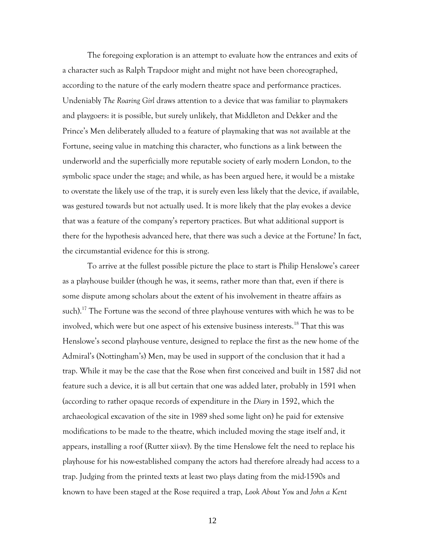The foregoing exploration is an attempt to evaluate how the entrances and exits of a character such as Ralph Trapdoor might and might not have been choreographed, according to the nature of the early modern theatre space and performance practices. Undeniably *The Roaring Girl* draws attention to a device that was familiar to playmakers and playgoers: it is possible, but surely unlikely, that Middleton and Dekker and the Prince's Men deliberately alluded to a feature of playmaking that was *not* available at the Fortune, seeing value in matching this character, who functions as a link between the underworld and the superficially more reputable society of early modern London, to the symbolic space under the stage; and while, as has been argued here, it would be a mistake to overstate the likely use of the trap, it is surely even less likely that the device, if available, was gestured towards but not actually used. It is more likely that the play evokes a device that was a feature of the company's repertory practices. But what additional support is there for the hypothesis advanced here, that there was such a device at the Fortune? In fact, the circumstantial evidence for this is strong.

To arrive at the fullest possible picture the place to start is Philip Henslowe's career as a playhouse builder (though he was, it seems, rather more than that, even if there is some dispute among scholars about the extent of his involvement in theatre affairs as such).<sup>17</sup> The Fortune was the second of three playhouse ventures with which he was to be involved, which were but one aspect of his extensive business interests.<sup>18</sup> That this was Henslowe's second playhouse venture, designed to replace the first as the new home of the Admiral's (Nottingham's) Men, may be used in support of the conclusion that it had a trap. While it may be the case that the Rose when first conceived and built in 1587 did not feature such a device, it is all but certain that one was added later, probably in 1591 when (according to rather opaque records of expenditure in the *Diary* in 1592, which the archaeological excavation of the site in 1989 shed some light on) he paid for extensive modifications to be made to the theatre, which included moving the stage itself and, it appears, installing a roof (Rutter xii-xv). By the time Henslowe felt the need to replace his playhouse for his now-established company the actors had therefore already had access to a trap. Judging from the printed texts at least two plays dating from the mid-1590s and known to have been staged at the Rose required a trap, *Look About You* and *John a Kent*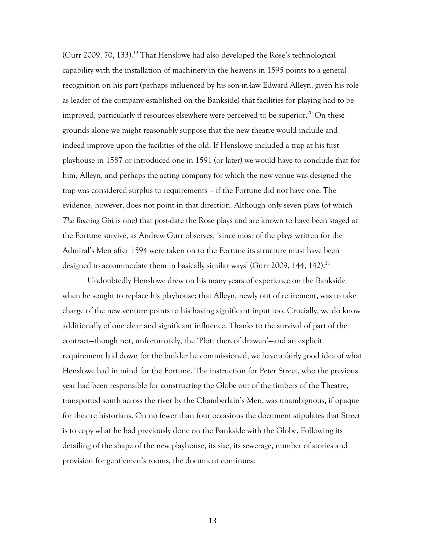(Gurr 2009, 70, 133).<sup>19</sup> That Henslowe had also developed the Rose's technological capability with the installation of machinery in the heavens in 1595 points to a general recognition on his part (perhaps influenced by his son-in-law Edward Alleyn, given his role as leader of the company established on the Bankside) that facilities for playing had to be improved, particularly if resources elsewhere were perceived to be superior.<sup>20</sup> On these grounds alone we might reasonably suppose that the new theatre would include and indeed improve upon the facilities of the old. If Henslowe included a trap at his first playhouse in 1587 or introduced one in 1591 (or later) we would have to conclude that for him, Alleyn, and perhaps the acting company for which the new venue was designed the trap was considered surplus to requirements – if the Fortune did not have one. The evidence, however, does not point in that direction. Although only seven plays (of which *The Roaring Girl* is one) that post-date the Rose plays and are known to have been staged at the Fortune survive, as Andrew Gurr observes, 'since most of the plays written for the Admiral's Men after 1594 were taken on to the Fortune its structure must have been designed to accommodate them in basically similar ways' (Gurr 2009, 144, 142).<sup>21</sup>

Undoubtedly Henslowe drew on his many years of experience on the Bankside when he sought to replace his playhouse; that Alleyn, newly out of retirement, was to take charge of the new venture points to his having significant input too. Crucially, we do know additionally of one clear and significant influence. Thanks to the survival of part of the contract—though not, unfortunately, the 'Plott thereof drawen'—and an explicit requirement laid down for the builder he commissioned, we have a fairly good idea of what Henslowe had in mind for the Fortune. The instruction for Peter Street, who the previous year had been responsible for constructing the Globe out of the timbers of the Theatre, transported south across the river by the Chamberlain's Men, was unambiguous, if opaque for theatre historians. On no fewer than four occasions the document stipulates that Street is to copy what he had previously done on the Bankside with the Globe. Following its detailing of the shape of the new playhouse, its size, its sewerage, number of stories and provision for gentlemen's rooms, the document continues: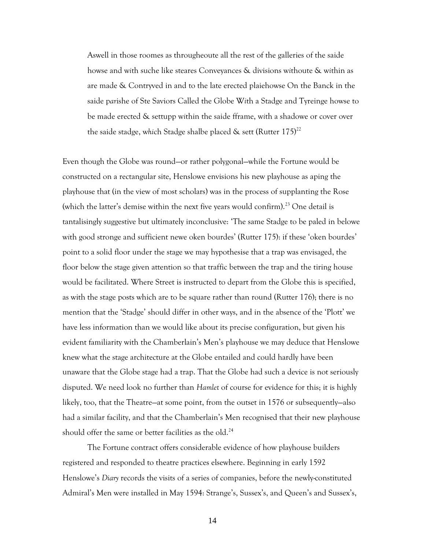Aswell in those roomes as througheoute all the rest of the galleries of the saide howse and w*i*th suche like steares Conveyances & divisions w*i*thoute & w*i*thin as are made & Contryved in and to the late erected plaiehowse On the Banck in the saide p*ar*ishe of Ste Saviors Called the Globe W*i*th a Stadge and Tyreinge howse to be made erected & settupp w*i*thin the saide fframe, w*i*th a shadowe or cover over the saide stadge, which Stadge shalbe placed & sett (Rutter 175)<sup>22</sup>

Even though the Globe was round—or rather polygonal—while the Fortune would be constructed on a rectangular site, Henslowe envisions his new playhouse as aping the playhouse that (in the view of most scholars) was in the process of supplanting the Rose (which the latter's demise within the next five years would confirm).<sup>23</sup> One detail is tantalisingly suggestive but ultimately inconclusive: 'The same Stadge to be paled in belowe w*i*th good stronge and sufficient newe oken bourdes' (Rutter 175): if these 'oken bourdes' point to a solid floor under the stage we may hypothesise that a trap was envisaged, the floor below the stage given attention so that traffic between the trap and the tiring house would be facilitated. Where Street is instructed to depart from the Globe this is specified, as with the stage posts which are to be square rather than round (Rutter 176); there is no mention that the 'Stadge' should differ in other ways, and in the absence of the 'Plott' we have less information than we would like about its precise configuration, but given his evident familiarity with the Chamberlain's Men's playhouse we may deduce that Henslowe knew what the stage architecture at the Globe entailed and could hardly have been unaware that the Globe stage had a trap. That the Globe had such a device is not seriously disputed. We need look no further than *Hamlet* of course for evidence for this; it is highly likely, too, that the Theatre—at some point, from the outset in 1576 or subsequently—also had a similar facility, and that the Chamberlain's Men recognised that their new playhouse should offer the same or better facilities as the old.<sup>24</sup>

The Fortune contract offers considerable evidence of how playhouse builders registered and responded to theatre practices elsewhere. Beginning in early 1592 Henslowe's *Diary* records the visits of a series of companies, before the newly-constituted Admiral's Men were installed in May 1594: Strange's, Sussex's, and Queen's and Sussex's,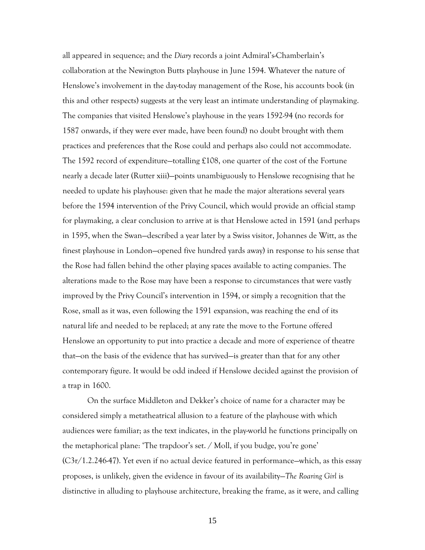all appeared in sequence; and the *Diary* records a joint Admiral's-Chamberlain's collaboration at the Newington Butts playhouse in June 1594. Whatever the nature of Henslowe's involvement in the day-today management of the Rose, his accounts book (in this and other respects) suggests at the very least an intimate understanding of playmaking. The companies that visited Henslowe's playhouse in the years 1592-94 (no records for 1587 onwards, if they were ever made, have been found) no doubt brought with them practices and preferences that the Rose could and perhaps also could not accommodate. The 1592 record of expenditure—totalling £108, one quarter of the cost of the Fortune nearly a decade later (Rutter xiii)—points unambiguously to Henslowe recognising that he needed to update his playhouse: given that he made the major alterations several years before the 1594 intervention of the Privy Council, which would provide an official stamp for playmaking, a clear conclusion to arrive at is that Henslowe acted in 1591 (and perhaps in 1595, when the Swan—described a year later by a Swiss visitor, Johannes de Witt, as the finest playhouse in London—opened five hundred yards away) in response to his sense that the Rose had fallen behind the other playing spaces available to acting companies. The alterations made to the Rose may have been a response to circumstances that were vastly improved by the Privy Council's intervention in 1594, or simply a recognition that the Rose, small as it was, even following the 1591 expansion, was reaching the end of its natural life and needed to be replaced; at any rate the move to the Fortune offered Henslowe an opportunity to put into practice a decade and more of experience of theatre that—on the basis of the evidence that has survived—is greater than that for any other contemporary figure. It would be odd indeed if Henslowe decided against the provision of a trap in 1600.

On the surface Middleton and Dekker's choice of name for a character may be considered simply a metatheatrical allusion to a feature of the playhouse with which audiences were familiar; as the text indicates, in the play-world he functions principally on the metaphorical plane: 'The trapdoor's set. / Moll, if you budge, you're gone' (C3r/1.2.246-47). Yet even if no actual device featured in performance—which, as this essay proposes, is unlikely, given the evidence in favour of its availability—*The Roaring Girl* is distinctive in alluding to playhouse architecture, breaking the frame, as it were, and calling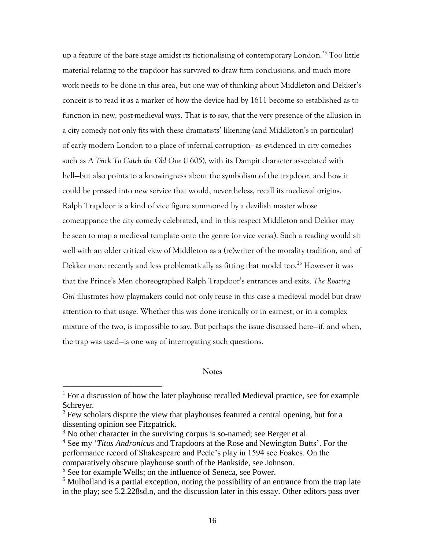up a feature of the bare stage amidst its fictionalising of contemporary London.<sup>25</sup> Too little material relating to the trapdoor has survived to draw firm conclusions, and much more work needs to be done in this area, but one way of thinking about Middleton and Dekker's conceit is to read it as a marker of how the device had by 1611 become so established as to function in new, post-medieval ways. That is to say, that the very presence of the allusion in a city comedy not only fits with these dramatists' likening (and Middleton's in particular) of early modern London to a place of infernal corruption—as evidenced in city comedies such as *A Trick To Catch the Old One* (1605), with its Dampit character associated with hell—but also points to a knowingness about the symbolism of the trapdoor, and how it could be pressed into new service that would, nevertheless, recall its medieval origins. Ralph Trapdoor is a kind of vice figure summoned by a devilish master whose comeuppance the city comedy celebrated, and in this respect Middleton and Dekker may be seen to map a medieval template onto the genre (or vice versa). Such a reading would sit well with an older critical view of Middleton as a (re)writer of the morality tradition, and of Dekker more recently and less problematically as fitting that model too.<sup>26</sup> However it was that the Prince's Men choreographed Ralph Trapdoor's entrances and exits, *The Roaring Girl* illustrates how playmakers could not only reuse in this case a medieval model but draw attention to that usage. Whether this was done ironically or in earnest, or in a complex mixture of the two, is impossible to say. But perhaps the issue discussed here—if, and when, the trap was used—is one way of interrogating such questions.

#### **Notes**

 $\overline{a}$ 

<sup>&</sup>lt;sup>1</sup> For a discussion of how the later playhouse recalled Medieval practice, see for example Schreyer.

<sup>&</sup>lt;sup>2</sup> Few scholars dispute the view that playhouses featured a central opening, but for a dissenting opinion see Fitzpatrick.

 $3$  No other character in the surviving corpus is so-named; see Berger et al.

<sup>4</sup> See my '*Titus Andronicus* and Trapdoors at the Rose and Newington Butts'. For the performance record of Shakespeare and Peele's play in 1594 see Foakes. On the comparatively obscure playhouse south of the Bankside, see Johnson.

 $<sup>5</sup>$  See for example Wells; on the influence of Seneca, see Power.</sup>

 $6$  Mulholland is a partial exception, noting the possibility of an entrance from the trap late in the play; see 5.2.228sd.n, and the discussion later in this essay. Other editors pass over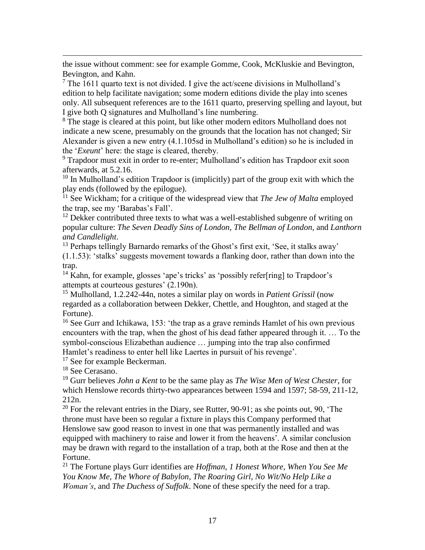the issue without comment: see for example Gomme, Cook, McKluskie and Bevington, Bevington, and Kahn.

 $<sup>7</sup>$  The 1611 quarto text is not divided. I give the act/scene divisions in Mulholland's</sup> edition to help facilitate navigation; some modern editions divide the play into scenes only. All subsequent references are to the 1611 quarto, preserving spelling and layout, but I give both Q signatures and Mulholland's line numbering.

<sup>8</sup> The stage is cleared at this point, but like other modern editors Mulholland does not indicate a new scene, presumably on the grounds that the location has not changed; Sir Alexander is given a new entry (4.1.105sd in Mulholland's edition) so he is included in the '*Exeunt*' here: the stage is cleared, thereby.

<sup>9</sup> Trapdoor must exit in order to re-enter; Mulholland's edition has Trapdoor exit soon afterwards, at 5.2.16.

 $10$  In Mulholland's edition Trapdoor is (implicitly) part of the group exit with which the play ends (followed by the epilogue).

<sup>11</sup> See Wickham; for a critique of the widespread view that *The Jew of Malta* employed the trap, see my 'Barabas's Fall'.

 $12$  Dekker contributed three texts to what was a well-established subgenre of writing on popular culture: *The Seven Deadly Sins of London*, *The Bellman of London*, and *Lanthorn and Candlelight*.

<sup>13</sup> Perhaps tellingly Barnardo remarks of the Ghost's first exit, 'See, it stalks away' (1.1.53): 'stalks' suggests movement towards a flanking door, rather than down into the trap.

<sup>14</sup> Kahn, for example, glosses 'ape's tricks' as 'possibly refer[ring] to Trapdoor's attempts at courteous gestures' (2.190n).

<sup>15</sup> Mulholland, 1.2.242-44n, notes a similar play on words in *Patient Grissil* (now regarded as a collaboration between Dekker, Chettle, and Houghton, and staged at the Fortune).

<sup>16</sup> See Gurr and Ichikawa, 153: 'the trap as a grave reminds Hamlet of his own previous encounters with the trap, when the ghost of his dead father appeared through it. … To the symbol-conscious Elizabethan audience … jumping into the trap also confirmed Hamlet's readiness to enter hell like Laertes in pursuit of his revenge'.

<sup>17</sup> See for example Beckerman.

<sup>18</sup> See Cerasano.

 $\overline{a}$ 

<sup>19</sup> Gurr believes *John a Kent* to be the same play as *The Wise Men of West Chester*, for which Henslowe records thirty-two appearances between 1594 and 1597; 58-59, 211-12, 212n.

<sup>20</sup> For the relevant entries in the Diary, see Rutter, 90-91; as she points out, 90, 'The throne must have been so regular a fixture in plays this Company performed that Henslowe saw good reason to invest in one that was permanently installed and was equipped with machinery to raise and lower it from the heavens'. A similar conclusion may be drawn with regard to the installation of a trap, both at the Rose and then at the Fortune.

<sup>21</sup> The Fortune plays Gurr identifies are *Hoffman*, *1 Honest Whore*, *When You See Me You Know Me*, *The Whore of Babylon*, *The Roaring Girl*, *No Wit/No Help Like a Woman's*, and *The Duchess of Suffolk*. None of these specify the need for a trap.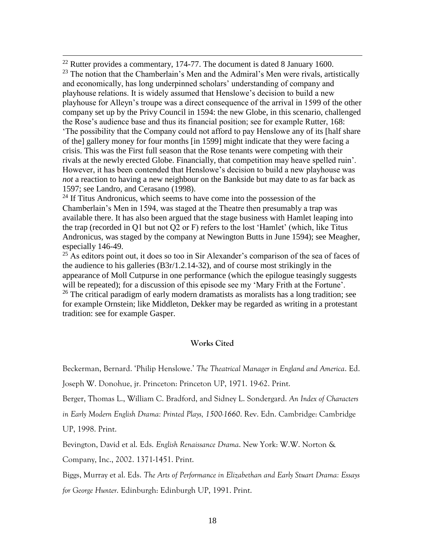$22$  Rutter provides a commentary, 174-77. The document is dated 8 January 1600.

 $\overline{a}$ 

<sup>23</sup> The notion that the Chamberlain's Men and the Admiral's Men were rivals, artistically and economically, has long underpinned scholars' understanding of company and playhouse relations. It is widely assumed that Henslowe's decision to build a new playhouse for Alleyn's troupe was a direct consequence of the arrival in 1599 of the other company set up by the Privy Council in 1594: the new Globe, in this scenario, challenged the Rose's audience base and thus its financial position; see for example Rutter, 168: 'The possibility that the Company could not afford to pay Henslowe any of its [half share of the] gallery money for four months [in 1599] might indicate that they were facing a crisis. This was the First full season that the Rose tenants were competing with their rivals at the newly erected Globe. Financially, that competition may heave spelled ruin'. However, it has been contended that Henslowe's decision to build a new playhouse was *not* a reaction to having a new neighbour on the Bankside but may date to as far back as 1597; see Landro, and Cerasano (1998).

 $24$  If Titus Andronicus, which seems to have come into the possession of the Chamberlain's Men in 1594, was staged at the Theatre then presumably a trap was available there. It has also been argued that the stage business with Hamlet leaping into the trap (recorded in Q1 but not Q2 or F) refers to the lost 'Hamlet' (which, like Titus Andronicus, was staged by the company at Newington Butts in June 1594); see Meagher, especially 146-49.

 $^{25}$  As editors point out, it does so too in Sir Alexander's comparison of the sea of faces of the audience to his galleries (B3r/1.2.14-32), and of course most strikingly in the appearance of Moll Cutpurse in one performance (which the epilogue teasingly suggests will be repeated); for a discussion of this episode see my 'Mary Frith at the Fortune'.  $26$  The critical paradigm of early modern dramatists as moralists has a long tradition; see for example Ornstein; like Middleton, Dekker may be regarded as writing in a protestant tradition: see for example Gasper.

### **Works Cited**

Beckerman, Bernard. 'Philip Henslowe.' *The Theatrical Manager in England and America*. Ed.

Joseph W. Donohue, jr. Princeton: Princeton UP, 1971. 19-62. Print.

Berger, Thomas L., William C. Bradford, and Sidney L. Sondergard. *An Index of Characters* 

*in Early Modern English Drama: Printed Plays, 1500-1660*. Rev. Edn. Cambridge: Cambridge UP, 1998. Print.

Bevington, David et al. Eds. *English Renaissance Drama*. New York: W.W. Norton &

Company, Inc., 2002. 1371-1451. Print.

Biggs, Murray et al. Eds. *The Arts of Performance in Elizabethan and Early Stuart Drama: Essays* 

*for George Hunter*. Edinburgh: Edinburgh UP, 1991. Print.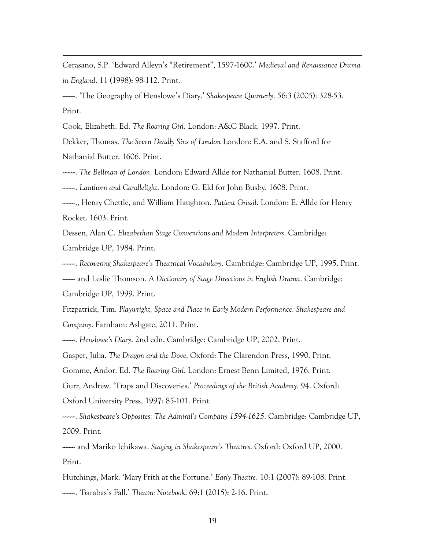Cerasano, S.P. 'Edward Alleyn's "Retirement", 1597-1600.' *Medieval and Renaissance Drama in England*. 11 (1998): 98-112. Print.

--------. 'The Geography of Henslowe's Diary.' *Shakespeare Quarterly*. 56:3 (2005): 328-53. Print.

Cook, Elizabeth. Ed. *The Roaring Girl*. London: A&C Black, 1997. Print.

 $\overline{a}$ 

Dekker, Thomas. *The Seven Deadly Sins of London* London: E.A. and S. Stafford for Nathanial Butter. 1606. Print.

--------. *The Bellman of London*. London: Edward Allde for Nathanial Butter. 1608. Print.

--------. *Lanthorn and Candlelight*. London: G. Eld for John Busby. 1608. Print.

--------., Henry Chettle, and William Haughton. *Patient Grissil*. London: E. Allde for Henry Rocket. 1603. Print.

Dessen, Alan C. *Elizabethan Stage Conventions and Modern Interpreters*. Cambridge: Cambridge UP, 1984. Print.

--------. *Recovering Shakespeare's Theatrical Vocabulary*. Cambridge: Cambridge UP, 1995. Print.

-------- and Leslie Thomson. *A Dictionary of Stage Directions in English Drama*. Cambridge: Cambridge UP, 1999. Print.

Fitzpatrick, Tim. *Playwright, Space and Place in Early Modern Performance: Shakespeare and Company*. Farnham: Ashgate, 2011. Print.

--------. *Henslowe's Diary*. 2nd edn. Cambridge: Cambridge UP, 2002. Print.

Gasper, Julia. *The Dragon and the Dove*. Oxford: The Clarendon Press, 1990. Print.

Gomme, Andor. Ed. *The Roaring Girl*. London: Ernest Benn Limited, 1976. Print.

Gurr, Andrew. 'Traps and Discoveries.' *Proceedings of the British Academy*. 94. Oxford: Oxford University Press, 1997: 85-101. Print.

--------. *Shakespeare's Opposites: The Admiral's Company 1594-1625*. Cambridge: Cambridge UP, 2009. Print.

-------- and Mariko Ichikawa. *Staging in Shakespeare's Theatres*. Oxford: Oxford UP, 2000. Print.

Hutchings, Mark. 'Mary Frith at the Fortune.' *Early Theatre*. 10:1 (2007): 89-108. Print.

--------. 'Barabas's Fall.' *Theatre Notebook*. 69:1 (2015): 2-16. Print.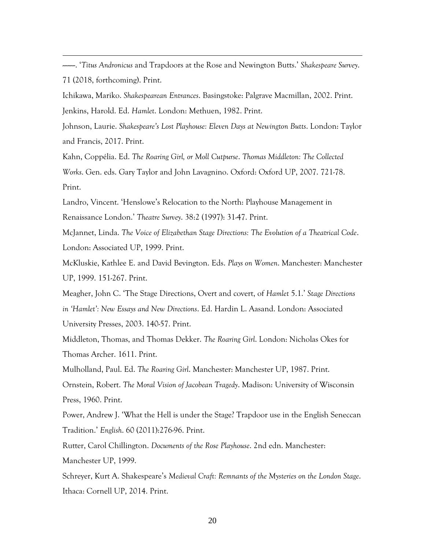--------. '*Titus Andronicus* and Trapdoors at the Rose and Newington Butts.' *Shakespeare Survey*. 71 (2018, forthcoming). Print.

 $\overline{a}$ 

Ichikawa, Mariko. *Shakespearean Entrances*. Basingstoke: Palgrave Macmillan, 2002. Print. Jenkins, Harold. Ed. *Hamlet*. London: Methuen, 1982. Print.

Johnson, Laurie. *Shakespeare's Lost Playhouse: Eleven Days at Newington Butts*. London: Taylor and Francis, 2017. Print.

Kahn, Coppélia. Ed. *The Roaring Girl, or Moll Cutpurse*. *Thomas Middleton: The Collected Works*. Gen. eds. Gary Taylor and John Lavagnino. Oxford: Oxford UP, 2007. 721-78. Print.

Landro, Vincent. 'Henslowe's Relocation to the North: Playhouse Management in Renaissance London.' *Theatre Survey*. 38:2 (1997): 31-47. Print.

McJannet, Linda. *The Voice of Elizabethan Stage Directions: The Evolution of a Theatrical Code*. London: Associated UP, 1999. Print.

McKluskie, Kathlee E. and David Bevington. Eds. *Plays on Women*. Manchester: Manchester UP, 1999. 151-267. Print.

Meagher, John C. 'The Stage Directions, Overt and covert, of *Hamlet* 5.1.' *Stage Directions in 'Hamlet': New Essays and New Directions*. Ed. Hardin L. Aasand. London: Associated University Presses, 2003. 140-57. Print.

Middleton, Thomas, and Thomas Dekker. *The Roaring Girl*. London: Nicholas Okes for Thomas Archer. 1611. Print.

Mulholland, Paul. Ed. *The Roaring Girl*. Manchester: Manchester UP, 1987. Print.

Ornstein, Robert. *The Moral Vision of Jacobean Tragedy*. Madison: University of Wisconsin Press, 1960. Print.

Power, Andrew J. 'What the Hell is under the Stage? Trapdoor use in the English Seneccan Tradition.' *English*. 60 (2011):276-96. Print.

Rutter, Carol Chillington. *Documents of the Rose Playhouse*. 2nd edn. Manchester: Manchester UP, 1999.

Schreyer, Kurt A. Shakespeare's *Medieval Craft: Remnants of the Mysteries on the London Stage*. Ithaca: Cornell UP, 2014. Print.